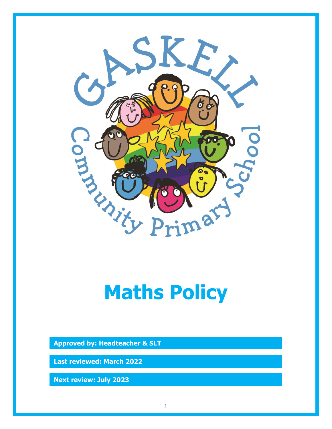

# **Maths Policy**

**Approved by: Headteacher & SLT**

**Last reviewed: March 2022**

**Next review: July 2023**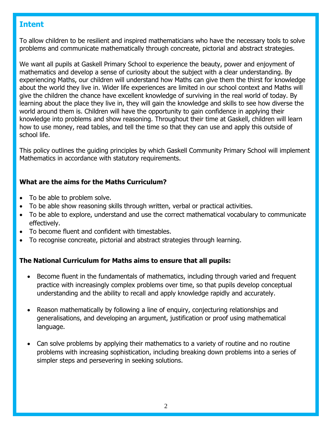# **Intent**

To allow children to be resilient and inspired mathematicians who have the necessary tools to solve problems and communicate mathematically through concreate, pictorial and abstract strategies.

We want all pupils at Gaskell Primary School to experience the beauty, power and enjoyment of mathematics and develop a sense of curiosity about the subject with a clear understanding. By experiencing Maths, our children will understand how Maths can give them the thirst for knowledge about the world they live in. Wider life experiences are limited in our school context and Maths will give the children the chance have excellent knowledge of surviving in the real world of today. By learning about the place they live in, they will gain the knowledge and skills to see how diverse the world around them is. Children will have the opportunity to gain confidence in applying their knowledge into problems and show reasoning. Throughout their time at Gaskell, children will learn how to use money, read tables, and tell the time so that they can use and apply this outside of school life.

This policy outlines the guiding principles by which Gaskell Community Primary School will implement Mathematics in accordance with statutory requirements.

## **What are the aims for the Maths Curriculum?**

- To be able to problem solve.
- To be able show reasoning skills through written, verbal or practical activities.
- To be able to explore, understand and use the correct mathematical vocabulary to communicate effectively.
- To become fluent and confident with timestables.
- To recognise concreate, pictorial and abstract strategies through learning.

## **The National Curriculum for Maths aims to ensure that all pupils:**

- Become fluent in the fundamentals of mathematics, including through varied and frequent practice with increasingly complex problems over time, so that pupils develop conceptual understanding and the ability to recall and apply knowledge rapidly and accurately.
- Reason mathematically by following a line of enquiry, conjecturing relationships and generalisations, and developing an argument, justification or proof using mathematical language.
- Can solve problems by applying their mathematics to a variety of routine and no routine problems with increasing sophistication, including breaking down problems into a series of simpler steps and persevering in seeking solutions.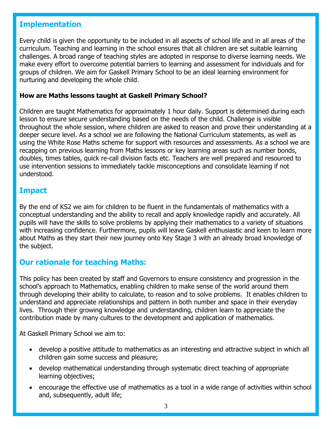## **Implementation**

Every child is given the opportunity to be included in all aspects of school life and in all areas of the curriculum. Teaching and learning in the school ensures that all children are set suitable learning challenges. A broad range of teaching styles are adopted in response to diverse learning needs. We make every effort to overcome potential barriers to learning and assessment for individuals and for groups of children. We aim for Gaskell Primary School to be an ideal learning environment for nurturing and developing the whole child.

#### **How are Maths lessons taught at Gaskell Primary School?**

Children are taught Mathematics for approximately 1 hour daily. Support is determined during each lesson to ensure secure understanding based on the needs of the child. Challenge is visible throughout the whole session, where children are asked to reason and prove their understanding at a deeper secure level. As a school we are following the National Curriculum statements, as well as using the White Rose Maths scheme for support with resources and assessments. As a school we are recapping on previous learning from Maths lessons or key learning areas such as number bonds, doubles, times tables, quick re-call division facts etc. Teachers are well prepared and resourced to use intervention sessions to immediately tackle misconceptions and consolidate learning if not understood.

## **Impact**

By the end of KS2 we aim for children to be fluent in the fundamentals of mathematics with a conceptual understanding and the ability to recall and apply knowledge rapidly and accurately. All pupils will have the skills to solve problems by applying their mathematics to a variety of situations with increasing confidence. Furthermore, pupils will leave Gaskell enthusiastic and keen to learn more about Maths as they start their new journey onto Key Stage 3 with an already broad knowledge of the subject.

## **Our rationale for teaching Maths:**

This policy has been created by staff and Governors to ensure consistency and progression in the school's approach to Mathematics, enabling children to make sense of the world around them through developing their ability to calculate, to reason and to solve problems. It enables children to understand and appreciate relationships and pattern in both number and space in their everyday lives. Through their growing knowledge and understanding, children learn to appreciate the contribution made by many cultures to the development and application of mathematics.

At Gaskell Primary School we aim to:

- develop a positive attitude to mathematics as an interesting and attractive subject in which all children gain some success and pleasure;
- develop mathematical understanding through systematic direct teaching of appropriate learning objectives;
- encourage the effective use of mathematics as a tool in a wide range of activities within school and, subsequently, adult life;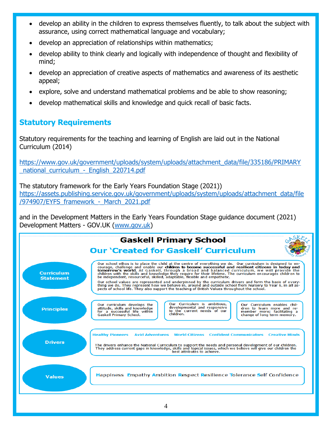- develop an ability in the children to express themselves fluently, to talk about the subject with assurance, using correct mathematical language and vocabulary;
- develop an appreciation of relationships within mathematics;
- develop ability to think clearly and logically with independence of thought and flexibility of mind;
- develop an appreciation of creative aspects of mathematics and awareness of its aesthetic appeal;
- explore, solve and understand mathematical problems and be able to show reasoning;
- develop mathematical skills and knowledge and quick recall of basic facts.

# **Statutory Requirements**

Statutory requirements for the teaching and learning of English are laid out in the National Curriculum (2014)

[https://www.gov.uk/government/uploads/system/uploads/attachment\\_data/file/335186/PRIMARY](https://www.gov.uk/government/uploads/system/uploads/attachment_data/file/335186/PRIMARY%20_national_curriculum_-_English_220714.pdf)  [\\_national\\_curriculum\\_-\\_English\\_220714.pdf](https://www.gov.uk/government/uploads/system/uploads/attachment_data/file/335186/PRIMARY%20_national_curriculum_-_English_220714.pdf)

The statutory framework for the Early Years Foundation Stage (2021)) [https://assets.publishing.service.gov.uk/government/uploads/system/uploads/attachment\\_data/file](https://assets.publishing.service.gov.uk/government/uploads/system/uploads/attachment_data/file%20/974907/EYFS_framework_-_March_2021.pdf)  [/974907/EYFS\\_framework\\_-\\_March\\_2021.pdf](https://assets.publishing.service.gov.uk/government/uploads/system/uploads/attachment_data/file%20/974907/EYFS_framework_-_March_2021.pdf) 

and in the Development Matters in the Early Years Foundation Stage guidance document (2021) Development Matters - GOV.UK [\(www.gov.uk\)](http://www.gov.uk/)

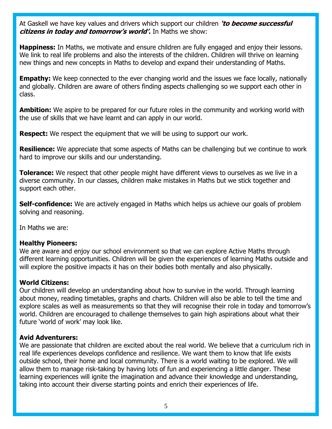At Gaskell we have key values and drivers which support our children **'to become successful citizens in today and tomorrow's world'.** In Maths we show:

**Happiness:** In Maths, we motivate and ensure children are fully engaged and enjoy their lessons. We link to real life problems and also the interests of the children. Children will thrive on learning new things and new concepts in Maths to develop and expand their understanding of Maths.

**Empathy:** We keep connected to the ever changing world and the issues we face locally, nationally and globally. Children are aware of others finding aspects challenging so we support each other in class.

**Ambition:** We aspire to be prepared for our future roles in the community and working world with the use of skills that we have learnt and can apply in our world.

**Respect:** We respect the equipment that we will be using to support our work.

**Resilience:** We appreciate that some aspects of Maths can be challenging but we continue to work hard to improve our skills and our understanding.

**Tolerance:** We respect that other people might have different views to ourselves as we live in a diverse community. In our classes, children make mistakes in Maths but we stick together and support each other.

**Self-confidence:** We are actively engaged in Maths which helps us achieve our goals of problem solving and reasoning.

In Maths we are:

#### **Healthy Pioneers:**

We are aware and enjoy our school environment so that we can explore Active Maths through different learning opportunities. Children will be given the experiences of learning Maths outside and will explore the positive impacts it has on their bodies both mentally and also physically.

#### **World Citizens:**

Our children will develop an understanding about how to survive in the world. Through learning about money, reading timetables, graphs and charts. Children will also be able to tell the time and explore scales as well as measurements so that they will recognise their role in today and tomorrow's world. Children are encouraged to challenge themselves to gain high aspirations about what their future 'world of work' may look like.

#### **Avid Adventurers:**

We are passionate that children are excited about the real world. We believe that a curriculum rich in real life experiences develops confidence and resilience. We want them to know that life exists outside school, their home and local community. There is a world waiting to be explored. We will allow them to manage risk-taking by having lots of fun and experiencing a little danger. These learning experiences will ignite the imagination and advance their knowledge and understanding, taking into account their diverse starting points and enrich their experiences of life.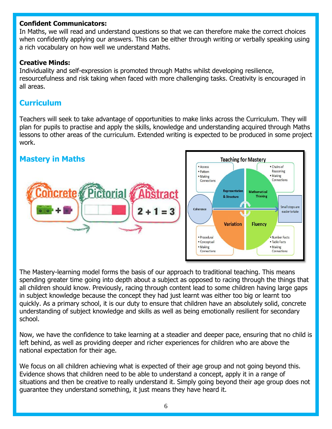#### **Confident Communicators:**

In Maths, we will read and understand questions so that we can therefore make the correct choices when confidently applying our answers. This can be either through writing or verbally speaking using a rich vocabulary on how well we understand Maths.

## **Creative Minds:**

Individuality and self-expression is promoted through Maths whilst developing resilience, resourcefulness and risk taking when faced with more challenging tasks. Creativity is encouraged in all areas.

## **Curriculum**

Teachers will seek to take advantage of opportunities to make links across the Curriculum. They will plan for pupils to practise and apply the skills, knowledge and understanding acquired through Maths lessons to other areas of the curriculum. Extended writing is expected to be produced in some project work.



The Mastery-learning model forms the basis of our approach to traditional teaching. This means spending greater time going into depth about a subject as opposed to racing through the things that all children should know. Previously, racing through content lead to some children having large gaps in subject knowledge because the concept they had just learnt was either too big or learnt too quickly. As a primary school, it is our duty to ensure that children have an absolutely solid, concrete understanding of subject knowledge and skills as well as being emotionally resilient for secondary school.

Now, we have the confidence to take learning at a steadier and deeper pace, ensuring that no child is left behind, as well as providing deeper and richer experiences for children who are above the national expectation for their age.

We focus on all children achieving what is expected of their age group and not going beyond this. Evidence shows that children need to be able to understand a concept, apply it in a range of situations and then be creative to really understand it. Simply going beyond their age group does not guarantee they understand something, it just means they have heard it.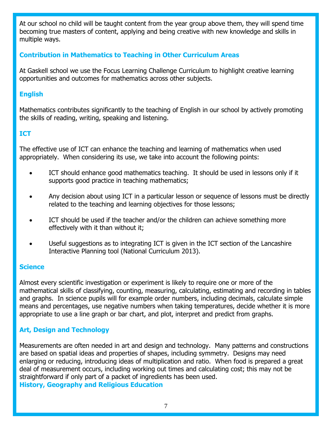At our school no child will be taught content from the year group above them, they will spend time becoming true masters of content, applying and being creative with new knowledge and skills in multiple ways.

## **Contribution in Mathematics to Teaching in Other Curriculum Areas**

At Gaskell school we use the Focus Learning Challenge Curriculum to highlight creative learning opportunities and outcomes for mathematics across other subjects.

## **English**

Mathematics contributes significantly to the teaching of English in our school by actively promoting the skills of reading, writing, speaking and listening.

## **ICT**

The effective use of ICT can enhance the teaching and learning of mathematics when used appropriately. When considering its use, we take into account the following points:

- ICT should enhance good mathematics teaching. It should be used in lessons only if it supports good practice in teaching mathematics;
- Any decision about using ICT in a particular lesson or sequence of lessons must be directly related to the teaching and learning objectives for those lessons;
- ICT should be used if the teacher and/or the children can achieve something more effectively with it than without it;
- Useful suggestions as to integrating ICT is given in the ICT section of the Lancashire Interactive Planning tool (National Curriculum 2013).

#### **Science**

Almost every scientific investigation or experiment is likely to require one or more of the mathematical skills of classifying, counting, measuring, calculating, estimating and recording in tables and graphs. In science pupils will for example order numbers, including decimals, calculate simple means and percentages, use negative numbers when taking temperatures, decide whether it is more appropriate to use a line graph or bar chart, and plot, interpret and predict from graphs.

## **Art, Design and Technology**

Measurements are often needed in art and design and technology. Many patterns and constructions are based on spatial ideas and properties of shapes, including symmetry. Designs may need enlarging or reducing, introducing ideas of multiplication and ratio. When food is prepared a great deal of measurement occurs, including working out times and calculating cost; this may not be straightforward if only part of a packet of ingredients has been used. **History, Geography and Religious Education**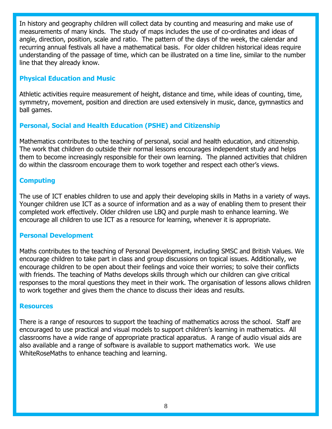In history and geography children will collect data by counting and measuring and make use of measurements of many kinds. The study of maps includes the use of co-ordinates and ideas of angle, direction, position, scale and ratio. The pattern of the days of the week, the calendar and recurring annual festivals all have a mathematical basis. For older children historical ideas require understanding of the passage of time, which can be illustrated on a time line, similar to the number line that they already know.

### **Physical Education and Music**

Athletic activities require measurement of height, distance and time, while ideas of counting, time, symmetry, movement, position and direction are used extensively in music, dance, gymnastics and ball games.

## **Personal, Social and Health Education (PSHE) and Citizenship**

Mathematics contributes to the teaching of personal, social and health education, and citizenship. The work that children do outside their normal lessons encourages independent study and helps them to become increasingly responsible for their own learning. The planned activities that children do within the classroom encourage them to work together and respect each other's views.

### **Computing**

The use of ICT enables children to use and apply their developing skills in Maths in a variety of ways. Younger children use ICT as a source of information and as a way of enabling them to present their completed work effectively. Older children use LBQ and purple mash to enhance learning. We encourage all children to use ICT as a resource for learning, whenever it is appropriate.

#### **Personal Development**

Maths contributes to the teaching of Personal Development, including SMSC and British Values. We encourage children to take part in class and group discussions on topical issues. Additionally, we encourage children to be open about their feelings and voice their worries; to solve their conflicts with friends. The teaching of Maths develops skills through which our children can give critical responses to the moral questions they meet in their work. The organisation of lessons allows children to work together and gives them the chance to discuss their ideas and results.

#### **Resources**

There is a range of resources to support the teaching of mathematics across the school. Staff are encouraged to use practical and visual models to support children's learning in mathematics. All classrooms have a wide range of appropriate practical apparatus. A range of audio visual aids are also available and a range of software is available to support mathematics work. We use WhiteRoseMaths to enhance teaching and learning.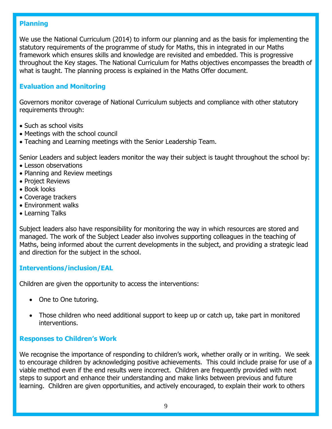### **Planning**

We use the National Curriculum (2014) to inform our planning and as the basis for implementing the statutory requirements of the programme of study for Maths, this in integrated in our Maths framework which ensures skills and knowledge are revisited and embedded. This is progressive throughout the Key stages. The National Curriculum for Maths objectives encompasses the breadth of what is taught. The planning process is explained in the Maths Offer document.

## **Evaluation and Monitoring**

Governors monitor coverage of National Curriculum subjects and compliance with other statutory requirements through:

- Such as school visits
- Meetings with the school council
- Teaching and Learning meetings with the Senior Leadership Team.

Senior Leaders and subject leaders monitor the way their subject is taught throughout the school by:

- Lesson observations
- Planning and Review meetings
- Project Reviews
- Book looks
- Coverage trackers
- Environment walks
- Learning Talks

Subject leaders also have responsibility for monitoring the way in which resources are stored and managed. The work of the Subject Leader also involves supporting colleagues in the teaching of Maths, being informed about the current developments in the subject, and providing a strategic lead and direction for the subject in the school.

#### **Interventions/inclusion/EAL**

Children are given the opportunity to access the interventions:

- One to One tutoring.
- Those children who need additional support to keep up or catch up, take part in monitored interventions.

#### **Responses to Children's Work**

We recognise the importance of responding to children's work, whether orally or in writing. We seek to encourage children by acknowledging positive achievements. This could include praise for use of a viable method even if the end results were incorrect. Children are frequently provided with next steps to support and enhance their understanding and make links between previous and future learning. Children are given opportunities, and actively encouraged, to explain their work to others